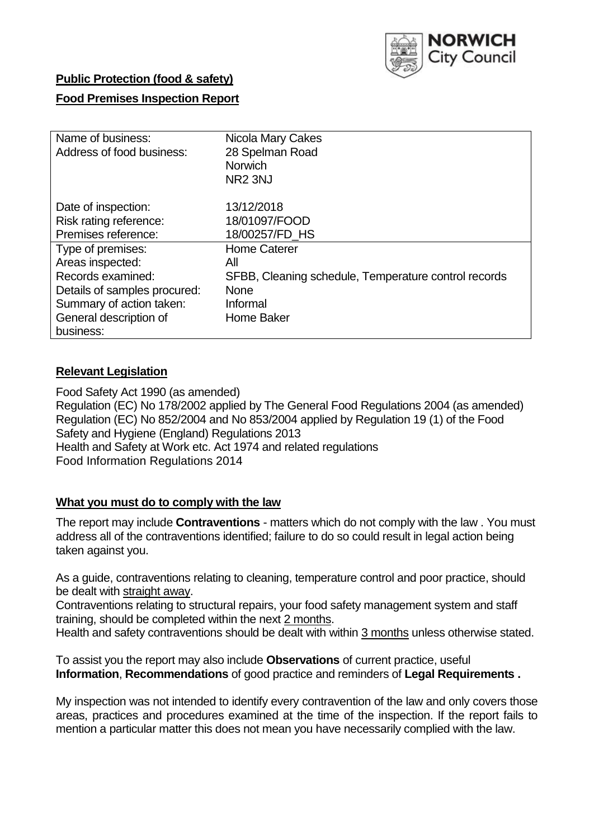

# **Public Protection (food & safety)**

# **Food Premises Inspection Report**

| Name of business:            | Nicola Mary Cakes                                    |
|------------------------------|------------------------------------------------------|
| Address of food business:    | 28 Spelman Road                                      |
|                              | <b>Norwich</b>                                       |
|                              | NR <sub>2</sub> 3NJ                                  |
| Date of inspection:          | 13/12/2018                                           |
| Risk rating reference:       | 18/01097/FOOD                                        |
| Premises reference:          | 18/00257/FD HS                                       |
| Type of premises:            | <b>Home Caterer</b>                                  |
| Areas inspected:             | All                                                  |
| Records examined:            | SFBB, Cleaning schedule, Temperature control records |
| Details of samples procured: | <b>None</b>                                          |
| Summary of action taken:     | Informal                                             |
| General description of       | Home Baker                                           |
| business:                    |                                                      |

# **Relevant Legislation**

Food Safety Act 1990 (as amended) Regulation (EC) No 178/2002 applied by The General Food Regulations 2004 (as amended) Regulation (EC) No 852/2004 and No 853/2004 applied by Regulation 19 (1) of the Food Safety and Hygiene (England) Regulations 2013 Health and Safety at Work etc. Act 1974 and related regulations Food Information Regulations 2014

## **What you must do to comply with the law**

The report may include **Contraventions** - matters which do not comply with the law . You must address all of the contraventions identified; failure to do so could result in legal action being taken against you.

As a guide, contraventions relating to cleaning, temperature control and poor practice, should be dealt with straight away.

Contraventions relating to structural repairs, your food safety management system and staff training, should be completed within the next 2 months.

Health and safety contraventions should be dealt with within 3 months unless otherwise stated.

To assist you the report may also include **Observations** of current practice, useful **Information**, **Recommendations** of good practice and reminders of **Legal Requirements .**

My inspection was not intended to identify every contravention of the law and only covers those areas, practices and procedures examined at the time of the inspection. If the report fails to mention a particular matter this does not mean you have necessarily complied with the law.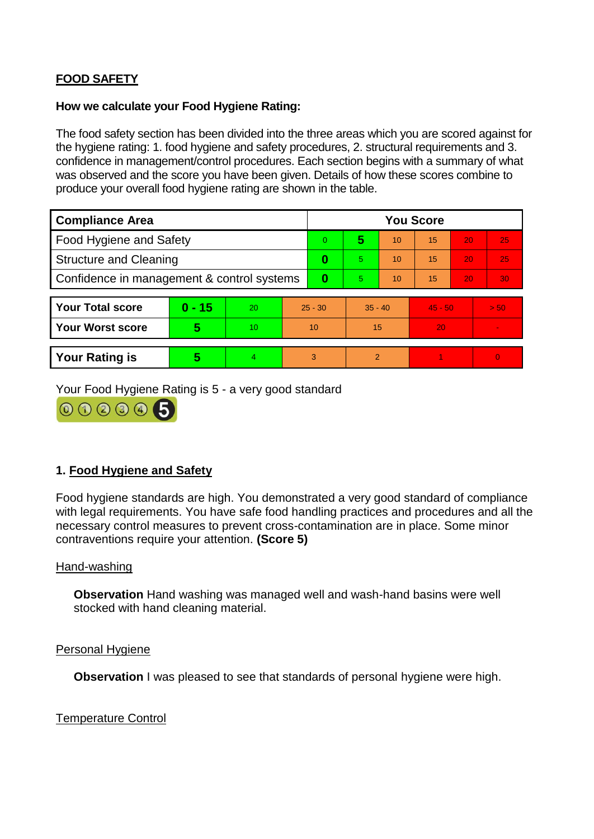# **FOOD SAFETY**

### **How we calculate your Food Hygiene Rating:**

The food safety section has been divided into the three areas which you are scored against for the hygiene rating: 1. food hygiene and safety procedures, 2. structural requirements and 3. confidence in management/control procedures. Each section begins with a summary of what was observed and the score you have been given. Details of how these scores combine to produce your overall food hygiene rating are shown in the table.

| <b>Compliance Area</b>                     |          |    |           | <b>You Score</b> |                |    |           |    |                |  |  |
|--------------------------------------------|----------|----|-----------|------------------|----------------|----|-----------|----|----------------|--|--|
| Food Hygiene and Safety                    |          |    |           | $\Omega$         | 5              | 10 | 15        | 20 | 25             |  |  |
| <b>Structure and Cleaning</b>              |          |    | $\bf{0}$  | 5.               | 10             | 15 | 20        | 25 |                |  |  |
| Confidence in management & control systems |          |    | 0         | 5                | 10             | 15 | 20        | 30 |                |  |  |
|                                            |          |    |           |                  |                |    |           |    |                |  |  |
| <b>Your Total score</b>                    | $0 - 15$ | 20 | $25 - 30$ |                  | $35 - 40$      |    | $45 - 50$ |    | > 50           |  |  |
| <b>Your Worst score</b>                    | 5        | 10 | 10        |                  | 15             |    | 20        |    | $\blacksquare$ |  |  |
|                                            |          |    |           |                  |                |    |           |    |                |  |  |
| <b>Your Rating is</b>                      | 5        | 4  | 3         |                  | $\overline{2}$ |    |           |    | $\Omega$       |  |  |

Your Food Hygiene Rating is 5 - a very good standard



# **1. Food Hygiene and Safety**

Food hygiene standards are high. You demonstrated a very good standard of compliance with legal requirements. You have safe food handling practices and procedures and all the necessary control measures to prevent cross-contamination are in place. Some minor contraventions require your attention. **(Score 5)**

## Hand-washing

**Observation** Hand washing was managed well and wash-hand basins were well stocked with hand cleaning material.

### Personal Hygiene

**Observation** I was pleased to see that standards of personal hygiene were high.

Temperature Control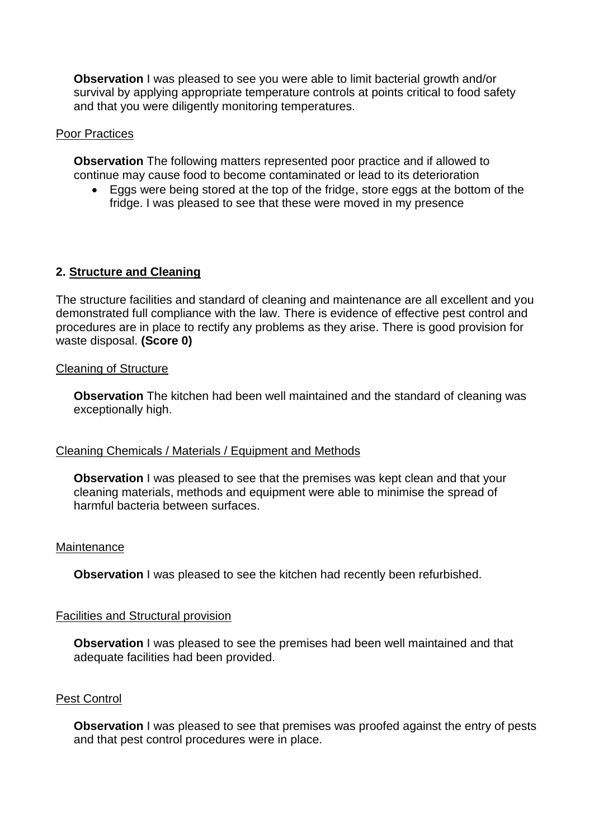**Observation** I was pleased to see you were able to limit bacterial growth and/or survival by applying appropriate temperature controls at points critical to food safety and that you were diligently monitoring temperatures.

### Poor Practices

**Observation** The following matters represented poor practice and if allowed to continue may cause food to become contaminated or lead to its deterioration

 Eggs were being stored at the top of the fridge, store eggs at the bottom of the fridge. I was pleased to see that these were moved in my presence

## **2. Structure and Cleaning**

The structure facilities and standard of cleaning and maintenance are all excellent and you demonstrated full compliance with the law. There is evidence of effective pest control and procedures are in place to rectify any problems as they arise. There is good provision for waste disposal. **(Score 0)**

#### Cleaning of Structure

**Observation** The kitchen had been well maintained and the standard of cleaning was exceptionally high.

## Cleaning Chemicals / Materials / Equipment and Methods

**Observation** I was pleased to see that the premises was kept clean and that your cleaning materials, methods and equipment were able to minimise the spread of harmful bacteria between surfaces.

#### Maintenance

**Observation** I was pleased to see the kitchen had recently been refurbished.

#### Facilities and Structural provision

**Observation** I was pleased to see the premises had been well maintained and that adequate facilities had been provided.

#### Pest Control

**Observation** I was pleased to see that premises was proofed against the entry of pests and that pest control procedures were in place.